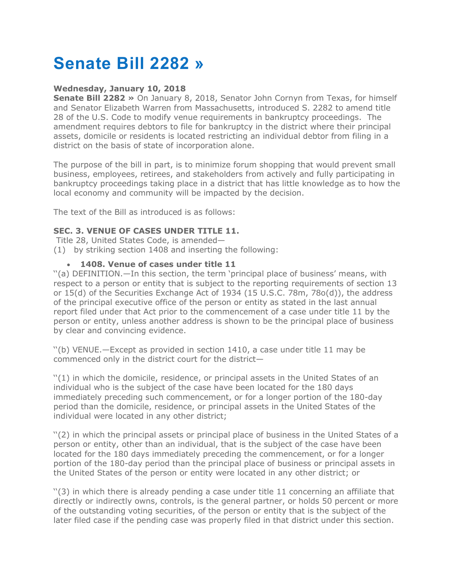# **Senate Bill 2282 »**

## **Wednesday, January 10, 2018**

**Senate Bill 2282 »** On January 8, 2018, Senator John Cornyn from Texas, for himself and Senator Elizabeth Warren from Massachusetts, introduced S. 2282 to amend title 28 of the U.S. Code to modify venue requirements in bankruptcy proceedings. The amendment requires debtors to file for bankruptcy in the district where their principal assets, domicile or residents is located restricting an individual debtor from filing in a district on the basis of state of incorporation alone.

The purpose of the bill in part, is to minimize forum shopping that would prevent small business, employees, retirees, and stakeholders from actively and fully participating in bankruptcy proceedings taking place in a district that has little knowledge as to how the local economy and community will be impacted by the decision.

The text of the Bill as introduced is as follows:

## **SEC. 3. VENUE OF CASES UNDER TITLE 11.**

Title 28, United States Code, is amended—

(1) by striking section 1408 and inserting the following:

## • **1408. Venue of cases under title 11**

''(a) DEFINITION.—In this section, the term 'principal place of business' means, with respect to a person or entity that is subject to the reporting requirements of section 13 or 15(d) of the Securities Exchange Act of 1934 (15 U.S.C. 78m, 78o(d)), the address of the principal executive office of the person or entity as stated in the last annual report filed under that Act prior to the commencement of a case under title 11 by the person or entity, unless another address is shown to be the principal place of business by clear and convincing evidence.

''(b) VENUE.—Except as provided in section 1410, a case under title 11 may be commenced only in the district court for the district—

''(1) in which the domicile, residence, or principal assets in the United States of an individual who is the subject of the case have been located for the 180 days immediately preceding such commencement, or for a longer portion of the 180-day period than the domicile, residence, or principal assets in the United States of the individual were located in any other district;

''(2) in which the principal assets or principal place of business in the United States of a person or entity, other than an individual, that is the subject of the case have been located for the 180 days immediately preceding the commencement, or for a longer portion of the 180-day period than the principal place of business or principal assets in the United States of the person or entity were located in any other district; or

''(3) in which there is already pending a case under title 11 concerning an affiliate that directly or indirectly owns, controls, is the general partner, or holds 50 percent or more of the outstanding voting securities, of the person or entity that is the subject of the later filed case if the pending case was properly filed in that district under this section.